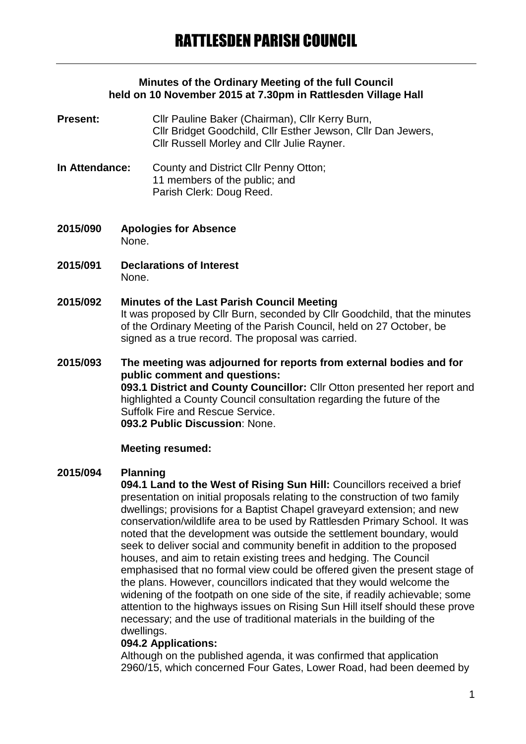## **Minutes of the Ordinary Meeting of the full Council held on 10 November 2015 at 7.30pm in Rattlesden Village Hall**

- **Present:** Cllr Pauline Baker (Chairman), Cllr Kerry Burn, Cllr Bridget Goodchild, Cllr Esther Jewson, Cllr Dan Jewers, Cllr Russell Morley and Cllr Julie Rayner.
- **In Attendance:** County and District Cllr Penny Otton; 11 members of the public; and Parish Clerk: Doug Reed.
- **2015/090 Apologies for Absence** None.
- **2015/091 Declarations of Interest** None.
- **2015/092 Minutes of the Last Parish Council Meeting** It was proposed by Cllr Burn, seconded by Cllr Goodchild, that the minutes of the Ordinary Meeting of the Parish Council, held on 27 October, be signed as a true record. The proposal was carried.

**2015/093 The meeting was adjourned for reports from external bodies and for public comment and questions: 093.1 District and County Councillor:** Cllr Otton presented her report and highlighted a County Council consultation regarding the future of the Suffolk Fire and Rescue Service. **093.2 Public Discussion**: None.

## **Meeting resumed:**

#### **2015/094 Planning**

**094.1 Land to the West of Rising Sun Hill:** Councillors received a brief presentation on initial proposals relating to the construction of two family dwellings; provisions for a Baptist Chapel graveyard extension; and new conservation/wildlife area to be used by Rattlesden Primary School. It was noted that the development was outside the settlement boundary, would seek to deliver social and community benefit in addition to the proposed houses, and aim to retain existing trees and hedging. The Council emphasised that no formal view could be offered given the present stage of the plans. However, councillors indicated that they would welcome the widening of the footpath on one side of the site, if readily achievable; some attention to the highways issues on Rising Sun Hill itself should these prove necessary; and the use of traditional materials in the building of the dwellings.

## **094.2 Applications:**

Although on the published agenda, it was confirmed that application 2960/15, which concerned Four Gates, Lower Road, had been deemed by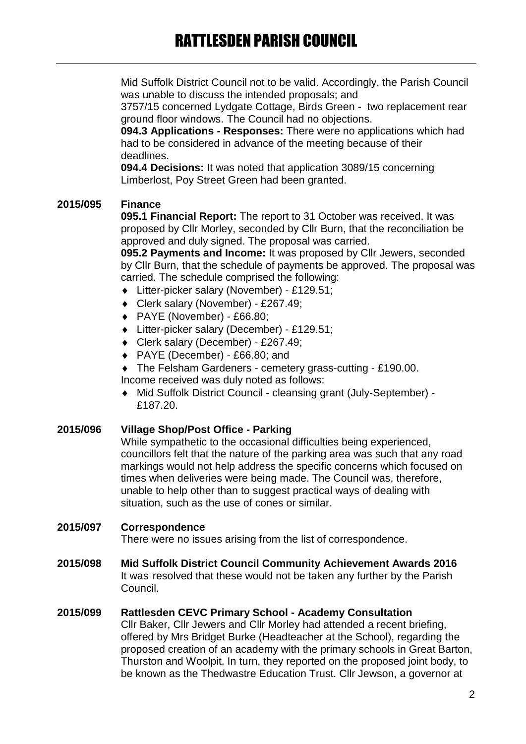Mid Suffolk District Council not to be valid. Accordingly, the Parish Council was unable to discuss the intended proposals; and

3757/15 concerned Lydgate Cottage, Birds Green - two replacement rear ground floor windows. The Council had no objections.

**094.3 Applications - Responses:** There were no applications which had had to be considered in advance of the meeting because of their deadlines.

**094.4 Decisions:** It was noted that application 3089/15 concerning Limberlost, Poy Street Green had been granted.

# **2015/095 Finance**

**095.1 Financial Report:** The report to 31 October was received. It was proposed by Cllr Morley, seconded by Cllr Burn, that the reconciliation be approved and duly signed. The proposal was carried.

**095.2 Payments and Income:** It was proposed by Cllr Jewers, seconded by Cllr Burn, that the schedule of payments be approved. The proposal was carried. The schedule comprised the following:

- Litter-picker salary (November) £129.51;
- Clerk salary (November) £267.49;
- ◆ PAYE (November) £66.80;
- Litter-picker salary (December) £129.51;
- Clerk salary (December) £267.49;
- ◆ PAYE (December) £66.80; and

 The Felsham Gardeners - cemetery grass-cutting - £190.00. Income received was duly noted as follows:

 Mid Suffolk District Council - cleansing grant (July-September) - £187.20.

## **2015/096 Village Shop/Post Office - Parking**

While sympathetic to the occasional difficulties being experienced, councillors felt that the nature of the parking area was such that any road markings would not help address the specific concerns which focused on times when deliveries were being made. The Council was, therefore, unable to help other than to suggest practical ways of dealing with situation, such as the use of cones or similar.

## **2015/097 Correspondence**

There were no issues arising from the list of correspondence.

**2015/098 Mid Suffolk District Council Community Achievement Awards 2016** It was resolved that these would not be taken any further by the Parish Council.

## **2015/099 Rattlesden CEVC Primary School - Academy Consultation**

Cllr Baker, Cllr Jewers and Cllr Morley had attended a recent briefing, offered by Mrs Bridget Burke (Headteacher at the School), regarding the proposed creation of an academy with the primary schools in Great Barton, Thurston and Woolpit. In turn, they reported on the proposed joint body, to be known as the Thedwastre Education Trust. Cllr Jewson, a governor at